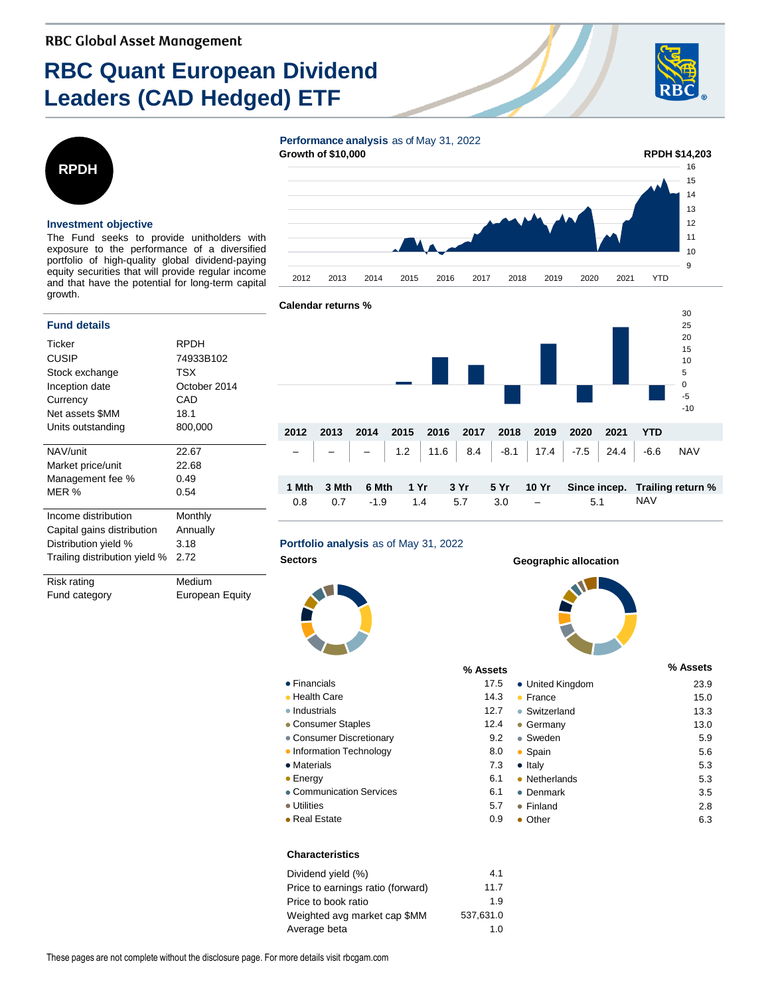# **RBC Quant European Dividend Leaders (CAD Hedged) ETF**





#### **Investment objective**

The Fund seeks to provide unitholders with exposure to the performance of a diversified portfolio of high-quality global dividend-paying equity securities that will provide regular income and that have the potential for long-term capital growth.

#### **Fund details**

| Ticker                        | <b>RPDH</b>  |
|-------------------------------|--------------|
| <b>CUSIP</b>                  | 74933B102    |
| Stock exchange                | TSX          |
| Inception date                | October 2014 |
| Currency                      | CAD          |
| Net assets \$MM               | 18.1         |
| Units outstanding             | 800,000      |
|                               |              |
| NAV/unit                      | 22.67        |
| Market price/unit             | 22.68        |
| Management fee %              | 0.49         |
| MER %                         | 0.54         |
|                               |              |
| Income distribution           | Monthly      |
| Capital gains distribution    | Annually     |
| Distribution yield %          | 3.18         |
| Trailing distribution yield % | 2.72         |
|                               |              |
| Risk rating                   | Medium       |

Fund category **European Equity** 

**Performance analysis** as of May 31, 2022 **Growth of \$10,000**





# **Portfolio analysis** as of May 31, 2022

 $\bullet$  Financials • Health Care  $\bullet$  Industrials • Consumer Staples • Consumer Discretionary • Information Technology

• Materials  $\bullet$  Energy

● Utilities  $\bullet$  Real Estate



## **Sectors Geographic allocation**



| % Assets |                      | % Assets |
|----------|----------------------|----------|
| 17.5     | • United Kingdom     | 23.9     |
| 14.3     | France               | 15.0     |
| 12.7     | Switzerland<br>۰     | 13.3     |
| 12.4     | Germany              | 13.0     |
| 9.2      | Sweden<br>$\bullet$  | 5.9      |
| 8.0      | Spain                | 5.6      |
| 7.3      | $\bullet$ Italy      | 5.3      |
| 6.1      | Netherlands          | 5.3      |
| 6.1      | Denmark              | 3.5      |
| 5.7      | Finland<br>$\bullet$ | 2.8      |
| 0.9      | Other                | 6.3      |

## **Characteristics**

• Communication Services

| Dividend yield (%)                | 4.1       |
|-----------------------------------|-----------|
| Price to earnings ratio (forward) | 11.7      |
| Price to book ratio               | 1.9       |
| Weighted avg market cap \$MM      | 537.631.0 |
| Average beta                      | 1.0       |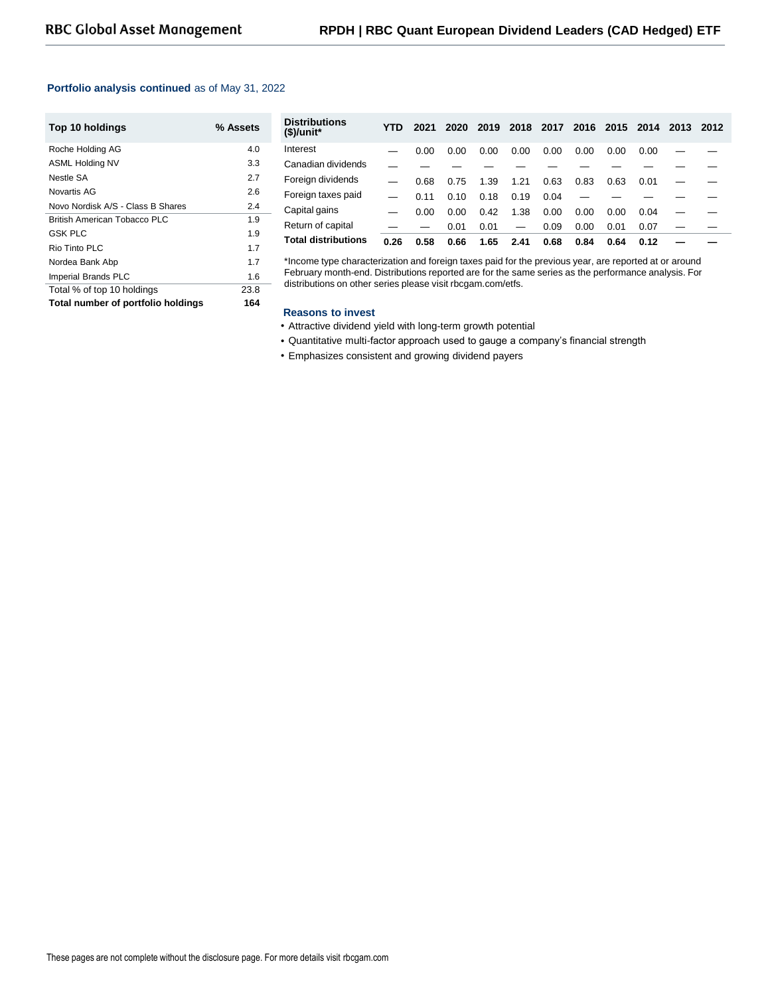#### **Portfolio analysis continued** as of May 31, 2022

| Top 10 holdings                    | % Assets |
|------------------------------------|----------|
| Roche Holding AG                   | 4.0      |
| <b>ASML Holding NV</b>             | 3.3      |
| Nestle SA                          | 2.7      |
| Novartis AG                        | 2.6      |
| Novo Nordisk A/S - Class B Shares  | 2.4      |
| British American Tobacco PLC       | 1.9      |
| <b>GSK PLC</b>                     | 1.9      |
| Rio Tinto PI C                     | 1.7      |
| Nordea Bank Abp                    | 1.7      |
| Imperial Brands PLC                | 1.6      |
| Total % of top 10 holdings         | 23.8     |
| Total number of portfolio holdings | 164      |

| <b>Distributions</b><br>$$$ /unit* | YTD  | 2021 | 2020 | 2019 | 2018                     | 2017 |      | 2016 2015 | 2014 | 2013 | 2012 |
|------------------------------------|------|------|------|------|--------------------------|------|------|-----------|------|------|------|
| Interest                           |      | 0.00 | 0.00 | 0.00 | 0.00                     | 0.00 | 0.00 | 0.00      | 0.00 |      |      |
| Canadian dividends                 |      |      |      |      |                          |      |      |           |      |      |      |
| Foreign dividends                  |      | 0.68 | 0.75 | 1.39 | 1.21                     | 0.63 | 0.83 | 0.63      | 0.01 |      |      |
| Foreign taxes paid                 |      | 0.11 | 0.10 | 0.18 | 0.19                     | 0.04 |      |           |      |      |      |
| Capital gains                      |      | 0.00 | 0.00 | 0.42 | 1.38                     | 0.00 | 0.00 | 0.00      | 0.04 |      |      |
| Return of capital                  |      |      | 0.01 | 0.01 | $\overline{\phantom{0}}$ | 0.09 | 0.00 | 0.01      | 0.07 |      |      |
| <b>Total distributions</b>         | 0.26 | 0.58 | 0.66 | 1.65 | 2.41                     | 0.68 | 0.84 | 0.64      | 0.12 |      |      |

\*Income type characterization and foreign taxes paid for the previous year, are reported at or around February month-end. Distributions reported are for the same series as the performance analysis. For distributions on other series please visit rbcgam.com/etfs.

#### **Reasons to invest**

- Attractive dividend yield with long-term growth potential
- Quantitative multi-factor approach used to gauge a company's financial strength
- Emphasizes consistent and growing dividend payers